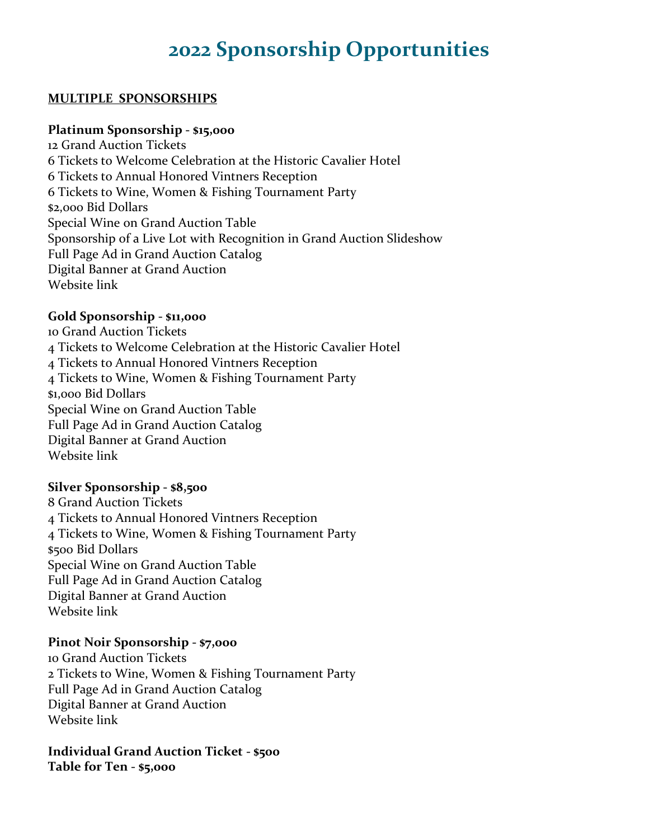# **2022 Sponsorship Opportunities**

#### **MULTIPLE SPONSORSHIPS**

#### **Platinum Sponsorship - \$15,000**

12 Grand Auction Tickets 6 Tickets to Welcome Celebration at the Historic Cavalier Hotel 6 Tickets to Annual Honored Vintners Reception 6 Tickets to Wine, Women & Fishing Tournament Party \$2,000 Bid Dollars Special Wine on Grand Auction Table Sponsorship of a Live Lot with Recognition in Grand Auction Slideshow Full Page Ad in Grand Auction Catalog Digital Banner at Grand Auction Website link

## **Gold Sponsorship - \$11,000**

10 Grand Auction Tickets 4 Tickets to Welcome Celebration at the Historic Cavalier Hotel 4 Tickets to Annual Honored Vintners Reception 4 Tickets to Wine, Women & Fishing Tournament Party \$1,000 Bid Dollars Special Wine on Grand Auction Table Full Page Ad in Grand Auction Catalog Digital Banner at Grand Auction Website link

#### **Silver Sponsorship - \$8,500**

8 Grand Auction Tickets 4 Tickets to Annual Honored Vintners Reception 4 Tickets to Wine, Women & Fishing Tournament Party \$500 Bid Dollars Special Wine on Grand Auction Table Full Page Ad in Grand Auction Catalog Digital Banner at Grand Auction Website link

#### **Pinot Noir Sponsorship - \$7,000**

10 Grand Auction Tickets 2 Tickets to Wine, Women & Fishing Tournament Party Full Page Ad in Grand Auction Catalog Digital Banner at Grand Auction Website link

#### **Individual Grand Auction Ticket - \$500 Table for Ten - \$5,000**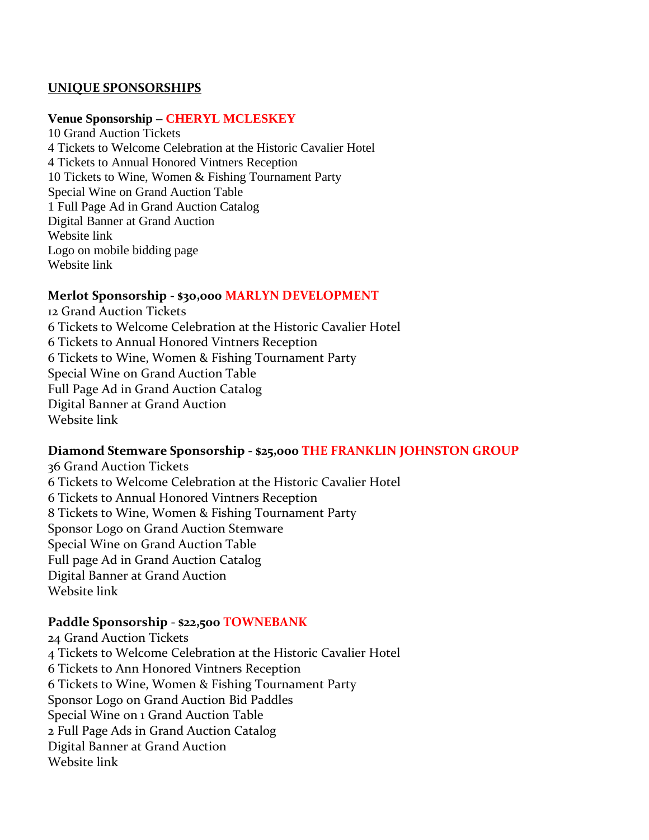#### **UNIQUE SPONSORSHIPS**

#### **Venue Sponsorship – CHERYL MCLESKEY**

10 Grand Auction Tickets 4 Tickets to Welcome Celebration at the Historic Cavalier Hotel 4 Tickets to Annual Honored Vintners Reception 10 Tickets to Wine, Women & Fishing Tournament Party Special Wine on Grand Auction Table 1 Full Page Ad in Grand Auction Catalog Digital Banner at Grand Auction Website link Logo on mobile bidding page Website link

#### **Merlot Sponsorship - \$30,000 MARLYN DEVELOPMENT**

12 Grand Auction Tickets 6 Tickets to Welcome Celebration at the Historic Cavalier Hotel 6 Tickets to Annual Honored Vintners Reception 6 Tickets to Wine, Women & Fishing Tournament Party Special Wine on Grand Auction Table Full Page Ad in Grand Auction Catalog Digital Banner at Grand Auction Website link

#### **Diamond Stemware Sponsorship - \$25,000 THE FRANKLIN JOHNSTON GROUP**

36 Grand Auction Tickets 6 Tickets to Welcome Celebration at the Historic Cavalier Hotel 6 Tickets to Annual Honored Vintners Reception 8 Tickets to Wine, Women & Fishing Tournament Party Sponsor Logo on Grand Auction Stemware Special Wine on Grand Auction Table Full page Ad in Grand Auction Catalog Digital Banner at Grand Auction Website link

#### **Paddle Sponsorship - \$22,500 TOWNEBANK**

24 Grand Auction Tickets 4 Tickets to Welcome Celebration at the Historic Cavalier Hotel 6 Tickets to Ann Honored Vintners Reception 6 Tickets to Wine, Women & Fishing Tournament Party Sponsor Logo on Grand Auction Bid Paddles Special Wine on 1 Grand Auction Table 2 Full Page Ads in Grand Auction Catalog Digital Banner at Grand Auction Website link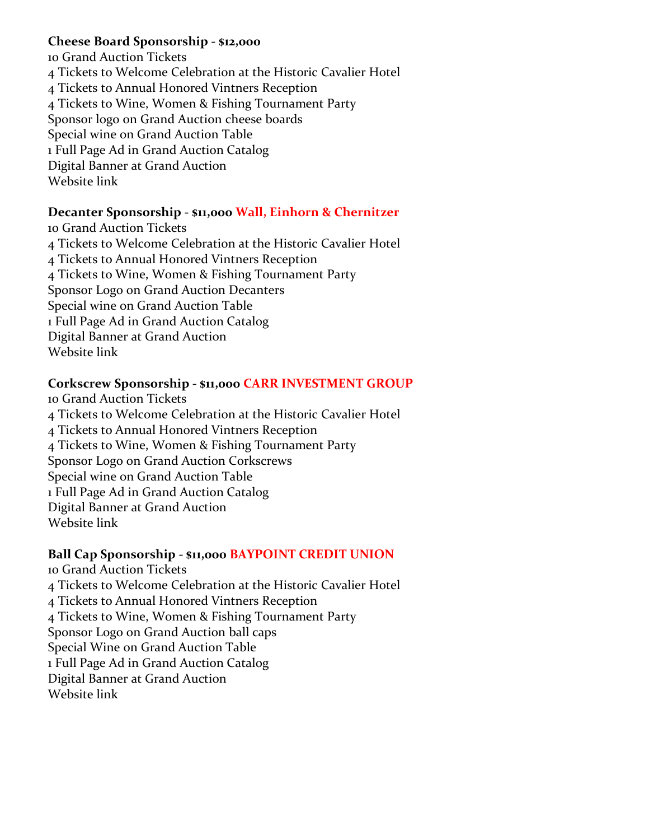# **Cheese Board Sponsorship - \$12,000**

10 Grand Auction Tickets 4 Tickets to Welcome Celebration at the Historic Cavalier Hotel 4 Tickets to Annual Honored Vintners Reception 4 Tickets to Wine, Women & Fishing Tournament Party Sponsor logo on Grand Auction cheese boards Special wine on Grand Auction Table 1 Full Page Ad in Grand Auction Catalog Digital Banner at Grand Auction Website link

# **Decanter Sponsorship - \$11,000 Wall, Einhorn & Chernitzer**

10 Grand Auction Tickets 4 Tickets to Welcome Celebration at the Historic Cavalier Hotel 4 Tickets to Annual Honored Vintners Reception 4 Tickets to Wine, Women & Fishing Tournament Party Sponsor Logo on Grand Auction Decanters Special wine on Grand Auction Table 1 Full Page Ad in Grand Auction Catalog Digital Banner at Grand Auction Website link

# **Corkscrew Sponsorship - \$11,000 CARR INVESTMENT GROUP**

10 Grand Auction Tickets 4 Tickets to Welcome Celebration at the Historic Cavalier Hotel 4 Tickets to Annual Honored Vintners Reception 4 Tickets to Wine, Women & Fishing Tournament Party Sponsor Logo on Grand Auction Corkscrews Special wine on Grand Auction Table 1 Full Page Ad in Grand Auction Catalog Digital Banner at Grand Auction Website link

# **Ball Cap Sponsorship - \$11,000 BAYPOINT CREDIT UNION**

10 Grand Auction Tickets 4 Tickets to Welcome Celebration at the Historic Cavalier Hotel 4 Tickets to Annual Honored Vintners Reception 4 Tickets to Wine, Women & Fishing Tournament Party Sponsor Logo on Grand Auction ball caps Special Wine on Grand Auction Table 1 Full Page Ad in Grand Auction Catalog Digital Banner at Grand Auction Website link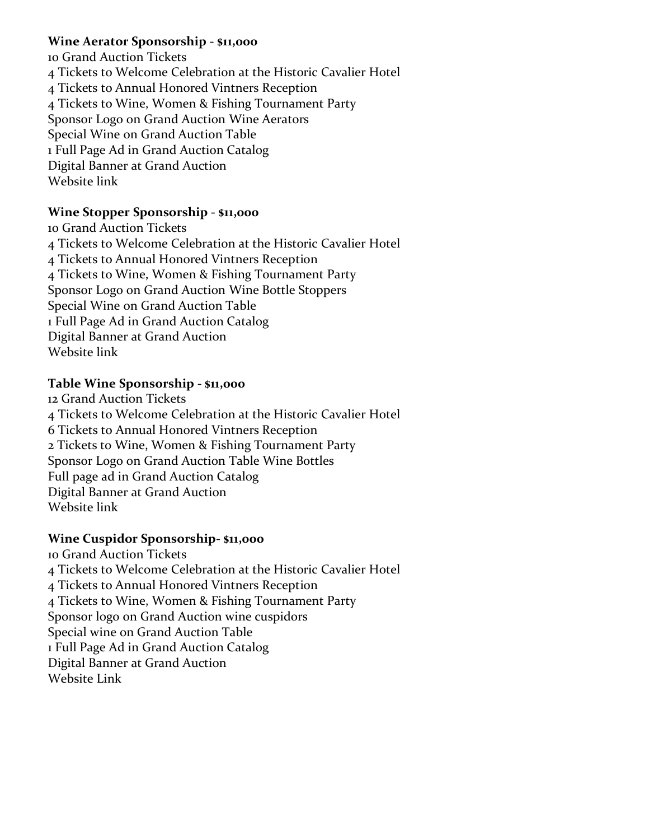# **Wine Aerator Sponsorship - \$11,000**

10 Grand Auction Tickets 4 Tickets to Welcome Celebration at the Historic Cavalier Hotel 4 Tickets to Annual Honored Vintners Reception 4 Tickets to Wine, Women & Fishing Tournament Party Sponsor Logo on Grand Auction Wine Aerators Special Wine on Grand Auction Table 1 Full Page Ad in Grand Auction Catalog Digital Banner at Grand Auction Website link

# **Wine Stopper Sponsorship - \$11,000**

10 Grand Auction Tickets 4 Tickets to Welcome Celebration at the Historic Cavalier Hotel 4 Tickets to Annual Honored Vintners Reception 4 Tickets to Wine, Women & Fishing Tournament Party Sponsor Logo on Grand Auction Wine Bottle Stoppers Special Wine on Grand Auction Table 1 Full Page Ad in Grand Auction Catalog Digital Banner at Grand Auction Website link

# **Table Wine Sponsorship - \$11,000**

12 Grand Auction Tickets 4 Tickets to Welcome Celebration at the Historic Cavalier Hotel 6 Tickets to Annual Honored Vintners Reception 2 Tickets to Wine, Women & Fishing Tournament Party Sponsor Logo on Grand Auction Table Wine Bottles Full page ad in Grand Auction Catalog Digital Banner at Grand Auction Website link

# **Wine Cuspidor Sponsorship- \$11,000**

10 Grand Auction Tickets 4 Tickets to Welcome Celebration at the Historic Cavalier Hotel 4 Tickets to Annual Honored Vintners Reception 4 Tickets to Wine, Women & Fishing Tournament Party Sponsor logo on Grand Auction wine cuspidors Special wine on Grand Auction Table 1 Full Page Ad in Grand Auction Catalog Digital Banner at Grand Auction Website Link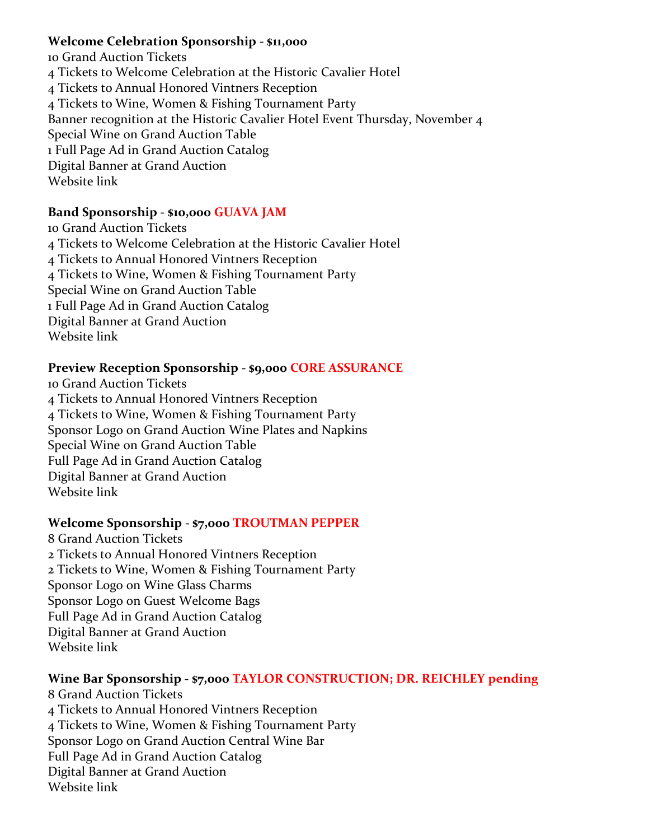## **Welcome Celebration Sponsorship - \$11,000**

10 Grand Auction Tickets 4 Tickets to Welcome Celebration at the Historic Cavalier Hotel 4 Tickets to Annual Honored Vintners Reception 4 Tickets to Wine, Women & Fishing Tournament Party Banner recognition at the Historic Cavalier Hotel Event Thursday, November 4 Special Wine on Grand Auction Table 1 Full Page Ad in Grand Auction Catalog Digital Banner at Grand Auction Website link

# **Band Sponsorship - \$10,000 GUAVA JAM**

10 Grand Auction Tickets 4 Tickets to Welcome Celebration at the Historic Cavalier Hotel 4 Tickets to Annual Honored Vintners Reception 4 Tickets to Wine, Women & Fishing Tournament Party Special Wine on Grand Auction Table 1 Full Page Ad in Grand Auction Catalog Digital Banner at Grand Auction Website link

## **Preview Reception Sponsorship - \$9,000 CORE ASSURANCE**

10 Grand Auction Tickets 4 Tickets to Annual Honored Vintners Reception 4 Tickets to Wine, Women & Fishing Tournament Party Sponsor Logo on Grand Auction Wine Plates and Napkins Special Wine on Grand Auction Table Full Page Ad in Grand Auction Catalog Digital Banner at Grand Auction Website link

# **Welcome Sponsorship - \$7,000 TROUTMAN PEPPER**

8 Grand Auction Tickets 2 Tickets to Annual Honored Vintners Reception 2 Tickets to Wine, Women & Fishing Tournament Party Sponsor Logo on Wine Glass Charms Sponsor Logo on Guest Welcome Bags Full Page Ad in Grand Auction Catalog Digital Banner at Grand Auction Website link

# **Wine Bar Sponsorship - \$7,000 TAYLOR CONSTRUCTION; DR. REICHLEY pending**

8 Grand Auction Tickets 4 Tickets to Annual Honored Vintners Reception 4 Tickets to Wine, Women & Fishing Tournament Party Sponsor Logo on Grand Auction Central Wine Bar Full Page Ad in Grand Auction Catalog Digital Banner at Grand Auction Website link